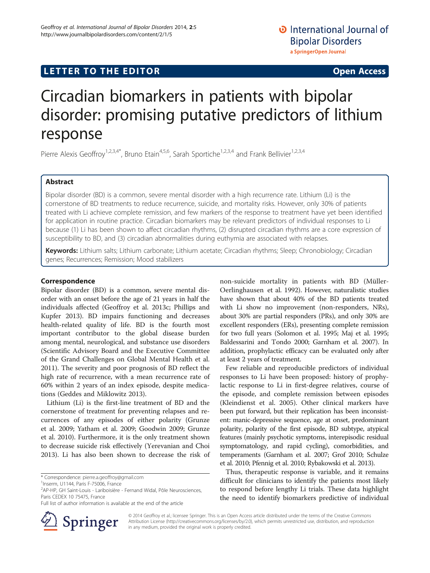## LETTER TO THE EDITOR **CONSIDERING THE EDITOR** CONSIDERING THE STATE AND THE STATE ASSAULT THE STATE AND THE STATE ASSAULT THE STATE AND THE STATE AND THE STATE AND THE STATE ASSAULT THE STATE AND THE STATE ASSAULT THE STAT

# Circadian biomarkers in patients with bipolar disorder: promising putative predictors of lithium response

Pierre Alexis Geoffroy<sup>1,2,3,4\*</sup>, Bruno Etain<sup>4,5,6</sup>, Sarah Sportiche<sup>1,2,3,4</sup> and Frank Bellivier<sup>1,2,3,4</sup>

## Abstract

Bipolar disorder (BD) is a common, severe mental disorder with a high recurrence rate. Lithium (Li) is the cornerstone of BD treatments to reduce recurrence, suicide, and mortality risks. However, only 30% of patients treated with Li achieve complete remission, and few markers of the response to treatment have yet been identified for application in routine practice. Circadian biomarkers may be relevant predictors of individual responses to Li because (1) Li has been shown to affect circadian rhythms, (2) disrupted circadian rhythms are a core expression of susceptibility to BD, and (3) circadian abnormalities during euthymia are associated with relapses.

Keywords: Lithium salts; Lithium carbonate; Lithium acetate; Circadian rhythms; Sleep; Chronobiology; Circadian genes; Recurrences; Remission; Mood stabilizers

### Correspondence

Bipolar disorder (BD) is a common, severe mental disorder with an onset before the age of 21 years in half the individuals affected (Geoffroy et al. [2013c](#page-2-0); Phillips and Kupfer [2013](#page-2-0)). BD impairs functioning and decreases health-related quality of life. BD is the fourth most important contributor to the global disease burden among mental, neurological, and substance use disorders (Scientific Advisory Board and the Executive Committee of the Grand Challenges on Global Mental Health et al. [2011](#page-2-0)). The severity and poor prognosis of BD reflect the high rate of recurrence, with a mean recurrence rate of 60% within 2 years of an index episode, despite medications (Geddes and Miklowitz [2013\)](#page-2-0).

Lithium (Li) is the first-line treatment of BD and the cornerstone of treatment for preventing relapses and recurrences of any episodes of either polarity (Grunze et al. [2009](#page-2-0); Yatham et al. [2009;](#page-3-0) Goodwin [2009;](#page-2-0) Grunze et al. [2010](#page-2-0)). Furthermore, it is the only treatment shown to decrease suicide risk effectively (Yerevanian and Choi [2013](#page-3-0)). Li has also been shown to decrease the risk of

\* Correspondence: [pierre.a.geoffroy@gmail.com](mailto:pierre.a.geoffroy@gmail.com) <sup>1</sup>

<sup>1</sup>Inserm, U1144, Paris F-75006, France

Full list of author information is available at the end of the article



non-suicide mortality in patients with BD (Müller-Oerlinghausen et al. [1992](#page-2-0)). However, naturalistic studies have shown that about 40% of the BD patients treated with Li show no improvement (non-responders, NRs), about 30% are partial responders (PRs), and only 30% are excellent responders (ERs), presenting complete remission for two full years (Solomon et al. [1995;](#page-3-0) Maj et al. [1995](#page-2-0); Baldessarini and Tondo [2000;](#page-2-0) Garnham et al. [2007](#page-2-0)). In addition, prophylactic efficacy can be evaluated only after at least 2 years of treatment.

Few reliable and reproducible predictors of individual responses to Li have been proposed: history of prophylactic response to Li in first-degree relatives, course of the episode, and complete remission between episodes (Kleindienst et al. [2005\)](#page-2-0). Other clinical markers have been put forward, but their replication has been inconsistent: manic-depressive sequence, age at onset, predominant polarity, polarity of the first episode, BD subtype, atypical features (mainly psychotic symptoms, interepisodic residual symptomatology, and rapid cycling), comorbidities, and temperaments (Garnham et al. [2007;](#page-2-0) Grof [2010;](#page-2-0) Schulze et al. [2010;](#page-2-0) Pfennig et al. [2010](#page-2-0); Rybakowski et al. [2013](#page-2-0)).

Thus, therapeutic response is variable, and it remains difficult for clinicians to identify the patients most likely to respond before lengthy Li trials. These data highlight the need to identify biomarkers predictive of individual

© 2014 Geoffroy et al.; licensee Springer. This is an Open Access article distributed under the terms of the Creative Commons Attribution License [\(http://creativecommons.org/licenses/by/2.0\)](http://creativecommons.org/licenses/by/2.0), which permits unrestricted use, distribution, and reproduction in any medium, provided the original work is properly credited.

<sup>&</sup>lt;sup>2</sup>AP-HP, GH Saint-Louis - Lariboisière - Fernand Widal, Pôle Neurosciences, Paris CEDEX 10 75475, France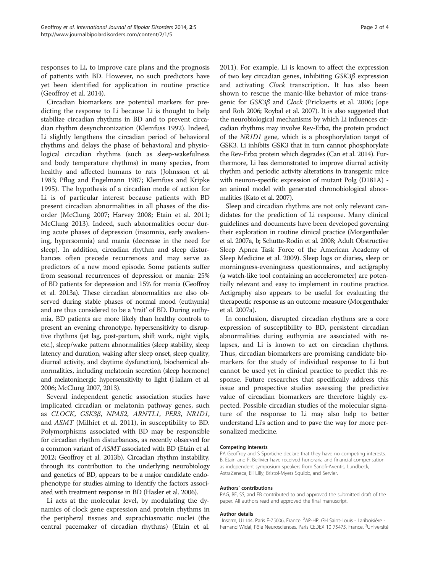responses to Li, to improve care plans and the prognosis of patients with BD. However, no such predictors have yet been identified for application in routine practice (Geoffroy et al. [2014\)](#page-2-0).

Circadian biomarkers are potential markers for predicting the response to Li because Li is thought to help stabilize circadian rhythms in BD and to prevent circadian rhythm desynchronization (Klemfuss [1992\)](#page-2-0). Indeed, Li slightly lengthens the circadian period of behavioral rhythms and delays the phase of behavioral and physiological circadian rhythms (such as sleep-wakefulness and body temperature rhythms) in many species, from healthy and affected humans to rats (Johnsson et al. [1983](#page-2-0); Pflug and Engelmann [1987](#page-2-0); Klemfuss and Kripke [1995](#page-2-0)). The hypothesis of a circadian mode of action for Li is of particular interest because patients with BD present circadian abnormalities in all phases of the disorder (McClung [2007](#page-2-0); Harvey [2008;](#page-2-0) Etain et al. [2011](#page-2-0); McClung [2013\)](#page-2-0). Indeed, such abnormalities occur during acute phases of depression (insomnia, early awakening, hypersomnia) and mania (decrease in the need for sleep). In addition, circadian rhythm and sleep disturbances often precede recurrences and may serve as predictors of a new mood episode. Some patients suffer from seasonal recurrences of depression or mania: 25% of BD patients for depression and 15% for mania (Geoffroy et al. [2013a](#page-2-0)). These circadian abnormalities are also observed during stable phases of normal mood (euthymia) and are thus considered to be a 'trait' of BD. During euthymia, BD patients are more likely than healthy controls to present an evening chronotype, hypersensitivity to disruptive rhythms (jet lag, post-partum, shift work, night vigils, etc.), sleep/wake pattern abnormalities (sleep stability, sleep latency and duration, waking after sleep onset, sleep quality, diurnal activity, and daytime dysfunction), biochemical abnormalities, including melatonin secretion (sleep hormone) and melatoninergic hypersensitivity to light (Hallam et al. [2006;](#page-2-0) McClung [2007, 2013](#page-2-0)).

Several independent genetic association studies have implicated circadian or melatonin pathway genes, such as CLOCK, GSK3β, NPAS2, ARNTL1, PER3, NR1D1, and ASMT (Milhiet et al. [2011\)](#page-2-0), in susceptibility to BD. Polymorphisms associated with BD may be responsible for circadian rhythm disturbances, as recently observed for a common variant of ASMT associated with BD (Etain et al. [2012;](#page-2-0) Geoffroy et al. [2013b](#page-2-0)). Circadian rhythm instability, through its contribution to the underlying neurobiology and genetics of BD, appears to be a major candidate endophenotype for studies aiming to identify the factors associated with treatment response in BD (Hasler et al. [2006\)](#page-2-0).

Li acts at the molecular level, by modulating the dynamics of clock gene expression and protein rhythms in the peripheral tissues and suprachiasmatic nuclei (the central pacemaker of circadian rhythms) (Etain et al. [2011](#page-2-0)). For example, Li is known to affect the expression of two key circadian genes, inhibiting GSK3β expression and activating Clock transcription. It has also been shown to rescue the manic-like behavior of mice transgenic for GSK3β and Clock (Prickaerts et al. [2006;](#page-2-0) Jope and Roh [2006;](#page-2-0) Roybal et al. [2007\)](#page-2-0). It is also suggested that the neurobiological mechanisms by which Li influences circadian rhythms may involve Rev-Erbα, the protein product of the NR1D1 gene, which is a phosphorylation target of GSK3. Li inhibits GSK3 that in turn cannot phosphorylate the Rev-Erbα protein which degrades (Can et al. [2014](#page-2-0)). Furthermore, Li has demonstrated to improve diurnal activity rhythm and periodic activity alterations in transgenic mice with neuron-specific expression of mutant Polg (D181A) an animal model with generated chronobiological abnormalities (Kato et al. [2007](#page-2-0)).

Sleep and circadian rhythms are not only relevant candidates for the prediction of Li response. Many clinical guidelines and documents have been developed governing their exploration in routine clinical practice (Morgenthaler et al. [2007a](#page-2-0), [b;](#page-2-0) Schutte-Rodin et al. [2008;](#page-3-0) Adult Obstructive Sleep Apnea Task Force of the American Academy of Sleep Medicine et al. [2009\)](#page-2-0). Sleep logs or diaries, sleep or morningness-eveningness questionnaires, and actigraphy (a watch-like tool containing an accelerometer) are potentially relevant and easy to implement in routine practice. Actigraphy also appears to be useful for evaluating the therapeutic response as an outcome measure (Morgenthaler et al. [2007a\)](#page-2-0).

In conclusion, disrupted circadian rhythms are a core expression of susceptibility to BD, persistent circadian abnormalities during euthymia are associated with relapses, and Li is known to act on circadian rhythms. Thus, circadian biomarkers are promising candidate biomarkers for the study of individual response to Li but cannot be used yet in clinical practice to predict this response. Future researches that specifically address this issue and prospective studies assessing the predictive value of circadian biomarkers are therefore highly expected. Possible circadian studies of the molecular signature of the response to Li may also help to better understand Li's action and to pave the way for more personalized medicine.

#### Competing interests

PA Geoffroy and S Sportiche declare that they have no competing interests. B. Etain and F. Bellivier have received honoraria and financial compensation as independent symposium speakers from Sanofi-Aventis, Lundbeck, AstraZeneca, Eli Lilly, Bristol-Myers Squibb, and Servier.

#### Authors' contributions

PAG, BE, SS, and FB contributed to and approved the submitted draft of the paper. All authors read and approved the final manuscript.

#### Author details

<sup>1</sup> Inserm, U1144, Paris F-75006, France. <sup>2</sup>AP-HP, GH Saint-Louis - Lariboisière -Fernand Widal, Pôle Neurosciences, Paris CEDEX 10 75475, France. <sup>3</sup>Université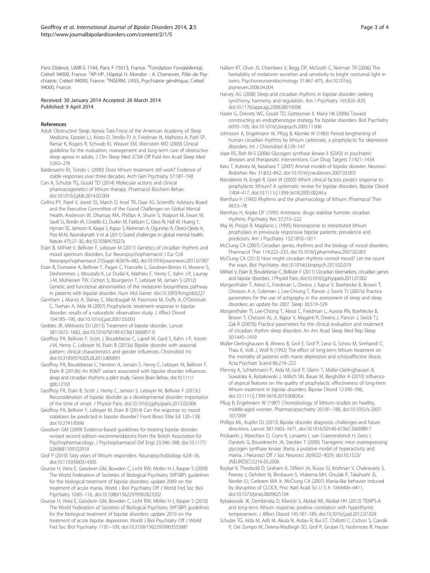<span id="page-2-0"></span>Paris Diderot, UMR-S 1144, Paris F-75013, France. <sup>4</sup>Fondation FondaMental, Créteil 94000, France. <sup>5</sup>AP-HP, Hôpital H. Mondor - A. Chenevier, Pôle de Psychiatrie, Créteil 94000, France. <sup>6</sup>INSERM, U955, Psychiatrie génétique, Créteil 94000, France.

#### Received: 30 January 2014 Accepted: 26 March 2014 Published: 9 April 2014

#### References

- Adult Obstructive Sleep Apnea Task Force of the American Academy of Sleep Medicine, Epstein LJ, Kristo D, Strollo PJ Jr, Friedman N, Malhotra A, Patil SP, Ramar K, Rogers R, Schwab RJ, Weaver EM, Weinstein MD (2009) Clinical guideline for the evaluation, management and long-term care of obstructive sleep apnea in adults. J Clin Sleep Med JCSM Off Publ Am Acad Sleep Med 5:263–276
- Baldessarini RJ, Tondo L (2000) Does lithium treatment still work? Evidence of stable responses over three decades. Arch Gen Psychiatry 57:187–190
- Can A, Schulze TG, Gould TD (2014) Molecular actions and clinical pharmacogenetics of lithium therapy. Pharmacol Biochem Behav. doi:10.1016/j.pbb.2014.02.004
- Collins PY, Patel V, Joestl SS, March D, Insel TR, Daar AS, Scientific Advisory Board and the Executive Committee of the Grand Challenges on Global Mental Health, Anderson W, Dhansay MA, Phillips A, Shurin S, Walport M, Ewart W, Savill SJ, Bordin IA, Costello EJ, Durkin M, Fairburn C, Glass RI, Hall W, Huang Y, Hyman SE, Jamison K, Kaaya S, Kapur S, Kleinman A, Ogunniyi A, Otero-Ojeda A, Poo M-M, Ravindranath V et al (2011) Grand challenges in global mental health. Nature 475:27–30, doi:10.1038/475027a
- Etain B, Milhiet V, Bellivier F, Leboyer M (2011) Genetics of circadian rhythms and mood spectrum disorders. Eur Neuropsychopharmacol J Eur Coll Neuropsychopharmacol 21(Suppl 4):S676–682, doi:10.1016/j.euroneuro.2011.07.007
- Etain B, Dumaine A, Bellivier F, Pagan C, Francelle L, Goubran-Botros H, Moreno S, Deshommes J, Moustafa K, Le Dudal K, Mathieu F, Henry C, Kahn J-P, Launay J-M, Mühleisen TW, Cichon S, Bourgeron T, Leboyer M, Jamain S (2012) Genetic and functional abnormalities of the melatonin biosynthesis pathway in patients with bipolar disorder. Hum Mol Genet. doi:10.1093/hmg/dds227
- Garnham J, Munro A, Slaney C, Macdougall M, Passmore M, Duffy A, O'Donovan C, Teehan A, Alda M (2007) Prophylactic treatment response in bipolar disorder: results of a naturalistic observation study. J Affect Disord 104:185–190, doi:10.1016/j.jad.2007.03.003
- Geddes JR, Miklowitz DJ (2013) Treatment of bipolar disorder. Lancet 381:1672–1682, doi:[10.1016/S0140-6736\(13\)60857-0](SpringerLink:ChapterTarget)
- Geoffroy PA, Bellivier F, Scott J, Boudebesse C, Lajnef M, Gard S, Kahn J-P, Azorin J-M, Henry C, Leboyer M, Etain B (2013a) Bipolar disorder with seasonal pattern: clinical characteristics and gender influences. Chronobiol Int. doi:10.3109/07420528.2013.800091
- Geoffroy PA, Boudebesse C, Henrion A, Jamain S, Henry C, Leboyer M, Bellivier F, Etain B (2013b) An ASMT variant associated with bipolar disorder influences sleep and circadian rhythms: a pilot study. Genes Brain Behav. doi:10.1111/ gbb.12103
- Geoffroy PA, Etain B, Scott J, Henry C, Jamain S, Leboyer M, Bellivier F (2013c) Reconsideration of bipolar disorder as a developmental disorder: importance of the time of onset. J Physiol Paris. doi:10.1016/j.jphysparis.2013.03.006
- Geoffroy PA, Bellivier F, Leboyer M, Etain B (2014) Can the response to mood stabilizers be predicted in bipolar disorder? Front Biosci Elite Ed 120–138, doi:10.2741/E696
- Goodwin GM (2009) Evidence-based guidelines for treating bipolar disorder: revised second edition–recommendations from the British Association for Psychopharmacology. J Psychopharmacol Oxf Engl 23:346–388, doi:10.1177/ 0269881109102919
- Grof P (2010) Sixty years of lithium responders. Neuropsychobiology 62:8–16, doi:10.1159/000314305
- Grunze H, Vieta E, Goodwin GM, Bowden C, Licht RW, Moller H-J, Kasper S (2009) The World Federation of Societies of Biological Psychiatry (WFSBP) guidelines for the biological treatment of bipolar disorders: update 2009 on the treatment of acute mania. World J Biol Psychiatry Off J World Fed Soc Biol Psychiatry 10:85–116, doi:10.1080/15622970902823202
- Grunze H, Vieta E, Goodwin GM, Bowden C, Licht RW, Möller H-J, Kasper S (2010) The World Federation of Societies of Biological Psychiatry (WFSBP) guidelines for the biological treatment of bipolar disorders: update 2010 on the treatment of acute bipolar depression. World J Biol Psychiatry Off J World Fed Soc Biol Psychiatry 11:81–109, doi:[10.3109/15622970903555881](SpringerLink:ChapterTarget)
- Hallam KT, Olver JS, Chambers V, Begg DP, McGrath C, Norman TR (2006) The heritability of melatonin secretion and sensitivity to bright nocturnal light in twins. Psychoneuroendocrinology 31:867–875, doi:10.1016/j. psyneuen.2006.04.004
- Harvey AG (2008) Sleep and circadian rhythms in bipolar disorder: seeking synchrony, harmony, and regulation. Am J Psychiatry 165:820–829, doi:10.1176/appi.ajp.2008.08010098
- Hasler G, Drevets WC, Gould TD, Gottesman II, Manji HK (2006) Toward constructing an endophenotype strategy for bipolar disorders. Biol Psychiatry 60:93–105, doi:10.1016/j.biopsych.2005.11.006
- Johnsson A, Engelmann W, Pflug B, Klemke W (1983) Period lengthening of human circadian rhythms by lithium carbonate, a prophylactic for depressive disorders. Int J Chronobiol 8:129–147
- Jope RS, Roh M-S (2006) Glycogen synthase kinase-3 (GSK3) in psychiatric diseases and therapeutic interventions. Curr Drug Targets 7:1421–1434
- Kato T, Kubota M, Kasahara T (2007) Animal models of bipolar disorder. Neurosci Biobehav Rev 31:832–842, doi:10.1016/j.neubiorev.2007.03.003
- Kleindienst N, Engel R, Greil W (2005) Which clinical factors predict response to prophylactic lithium? A systematic review for bipolar disorders. Bipolar Disord 7:404–417, doi:10.1111/j.1399-5618.2005.00244.x
- Klemfuss H (1992) Rhythms and the pharmacology of lithium. Pharmacol Ther 56:53–78
- Klemfuss H, Kripke DF (1995) Antimanic drugs stabilize hamster circadian rhythms. Psychiatry Res 57:215–222
- Maj M, Pirozzi R, Magliano L (1995) Nonresponse to reinstituted lithium prophylaxis in previously responsive bipolar patients: prevalence and predictors. Am J Psychiatry 152:1810–1811
- McClung CA (2007) Circadian genes, rhythms and the biology of mood disorders. Pharmacol Ther 114:222–232, doi:10.1016/j.pharmthera.2007.02.003
- McClung CA (2013) How might circadian rhythms control mood? Let me count the ways. Biol Psychiatry. doi:10.1016/j.biopsych.2013.02.019
- Milhiet V, Etain B, Boudebesse C, Bellivier F (2011) Circadian biomarkers, circadian genes and bipolar disorders. J Physiol Paris. doi:10.1016/j.jphysparis.2011.07.002
- Morgenthaler T, Alessi C, Friedman L, Owens J, Kapur V, Boehlecke B, Brown T, Chesson A Jr, Coleman J, Lee-Chiong T, Pancer J, Swick TJ (2007a) Practice parameters for the use of actigraphy in the assessment of sleep and sleep disorders: an update for 2007. Sleep 30:519–529
- Morgenthaler TI, Lee-Chiong T, Alessi C, Friedman L, Aurora RN, Boehlecke B, Brown T, Chesson AL Jr, Kapur V, Maganti R, Owens J, Pancer J, Swick TJ, Zak R (2007b) Practice parameters for the clinical evaluation and treatment of circadian rhythm sleep disorders. An Am Acad Sleep Med Rep Sleep 30:1445–1459
- Müller-Oerlinghausen B, Ahrens B, Grof E, Grof P, Lenz G, Schou M, Simhandl C, Thau K, Volk J, Wolf R (1992) The effect of long-term lithium treatment on the mortality of patients with manic-depressive and schizoaffective illness. Acta Psychiatr Scand 86:218–222
- Pfennig A, Schlattmann P, Alda M, Grof P, Glenn T, Müller-Oerlinghausen B, Suwalska A, Rybakowski J, Willich SN, Bauer M, Berghöfer A (2010) Influence of atypical features on the quality of prophylactic effectiveness of long-term lithium treatment in bipolar disorders. Bipolar Disord 12:390–396, doi:10.1111/j.1399-5618.2010.00826.x
- Pflug B, Engelmann W (1987) Chronobiology of lithium–studies on healthy, middle-aged women. Pharmacopsychiatry 20:181–188, doi:10.1055/s-2007- 1017099
- Phillips ML, Kupfer DJ (2013) Bipolar disorder diagnosis: challenges and future directions. Lancet 381:1663–1671, doi:10.1016/S0140-6736(13)60989-7
- Prickaerts J, Moechars D, Cryns K, Lenaerts I, van Craenendonck H, Goris I, Daneels G, Bouwknecht JA, Steckler T (2006) Transgenic mice overexpressing glycogen synthase kinase 3beta: a putative model of hyperactivity and mania. J Neurosci Off J Soc Neurosci 26:9022–9029, doi:10.1523/ JNEUROSCI.5216-05.2006
- Roybal K, Theobold D, Graham A, DiNieri JA, Russo SJ, Krishnan V, Chakravarty S, Peevey J, Oehrlein N, Birnbaum S, Vitaterna MH, Orsulak P, Takahashi JS, Nestler EJ, Carlezon WA Jr, McClung CA (2007) Mania-like behavior induced by disruption of CLOCK. Proc Natl Acad Sci U S A 104:6406–6411, doi:10.1073/pnas.0609625104
- Rybakowski JK, Dembinska D, Kliwicki S, Akiskal KK, Akiskal HH (2013) TEMPS-A and long-term lithium response: positive correlation with hyperthymic temperament. J Affect Disord 145:187–189, doi:10.1016/j.jad.2012.07.028
- Schulze TG, Alda M, Adli M, Akula N, Ardau R, Bui ET, Chillotti C, Cichon S, Czerski P, Del Zompo M, Detera-Wadleigh SD, Grof P, Gruber O, Hashimoto R, Hauser